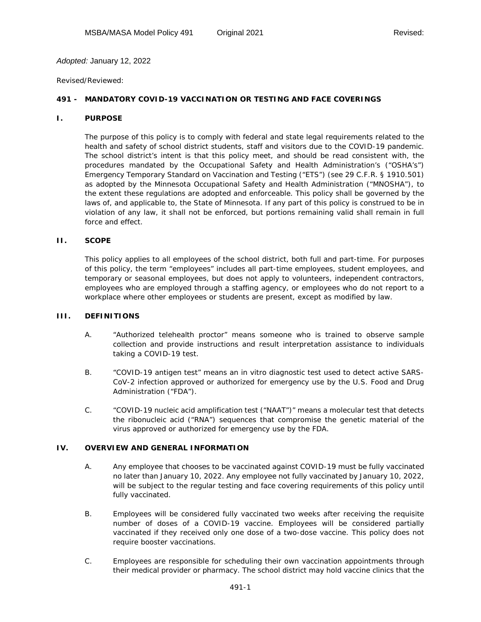## *Adopted:* January 12, 2022

#### *Revised/Reviewed:*

# **491 - MANDATORY COVID-19 VACCINATION OR TESTING AND FACE COVERINGS**

## **I. PURPOSE**

The purpose of this policy is to comply with federal and state legal requirements related to the health and safety of school district students, staff and visitors due to the COVID-19 pandemic. The school district's intent is that this policy meet, and should be read consistent with, the procedures mandated by the Occupational Safety and Health Administration's ("OSHA's") Emergency Temporary Standard on Vaccination and Testing ("ETS") (*see* 29 C.F.R. § 1910.501) as adopted by the Minnesota Occupational Safety and Health Administration ("MNOSHA"), to the extent these regulations are adopted and enforceable. This policy shall be governed by the laws of, and applicable to, the State of Minnesota. If any part of this policy is construed to be in violation of any law, it shall not be enforced, but portions remaining valid shall remain in full force and effect.

#### **II. SCOPE**

This policy applies to all employees of the school district, both full and part-time. For purposes of this policy, the term "employees" includes all part-time employees, student employees, and temporary or seasonal employees, but does not apply to volunteers, independent contractors, employees who are employed through a staffing agency, or employees who do not report to a workplace where other employees or students are present, except as modified by law.

## **III. DEFINITIONS**

- A. "Authorized telehealth proctor" means someone who is trained to observe sample collection and provide instructions and result interpretation assistance to individuals taking a COVID-19 test.
- B. "COVID-19 antigen test" means an in vitro diagnostic test used to detect active SARS-CoV-2 infection approved or authorized for emergency use by the U.S. Food and Drug Administration ("FDA").
- C. "COVID-19 nucleic acid amplification test ("NAAT")" means a molecular test that detects the ribonucleic acid ("RNA") sequences that compromise the genetic material of the virus approved or authorized for emergency use by the FDA.

## **IV. OVERVIEW AND GENERAL INFORMATION**

- A. Any employee that chooses to be vaccinated against COVID-19 must be fully vaccinated no later than January 10, 2022. Any employee not fully vaccinated by January 10, 2022, will be subject to the regular testing and face covering requirements of this policy until fully vaccinated.
- B. Employees will be considered fully vaccinated two weeks after receiving the requisite number of doses of a COVID-19 vaccine. Employees will be considered partially vaccinated if they received only one dose of a two-dose vaccine. This policy does not require booster vaccinations.
- C. Employees are responsible for scheduling their own vaccination appointments through their medical provider or pharmacy. The school district may hold vaccine clinics that the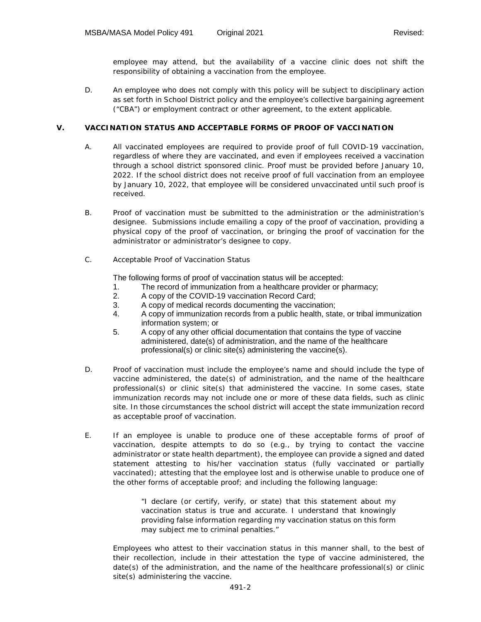employee may attend, but the availability of a vaccine clinic does not shift the responsibility of obtaining a vaccination from the employee.

D. An employee who does not comply with this policy will be subject to disciplinary action as set forth in School District policy and the employee's collective bargaining agreement ("CBA") or employment contract or other agreement, to the extent applicable.

## **V. VACCINATION STATUS AND ACCEPTABLE FORMS OF PROOF OF VACCINATION**

- A. All vaccinated employees are required to provide proof of full COVID-19 vaccination, regardless of where they are vaccinated, and even if employees received a vaccination through a school district sponsored clinic. Proof must be provided before January 10, 2022. If the school district does not receive proof of full vaccination from an employee by January 10, 2022, that employee will be considered unvaccinated until such proof is received.
- B. Proof of vaccination must be submitted to the administration or the administration's designee. Submissions include emailing a copy of the proof of vaccination, providing a physical copy of the proof of vaccination, or bringing the proof of vaccination for the administrator or administrator's *designee* to copy.
- C. Acceptable Proof of Vaccination Status

The following forms of proof of vaccination status will be accepted:

- 1. The record of immunization from a healthcare provider or pharmacy;
- 2. A copy of the COVID-19 vaccination Record Card;
- 3. A copy of medical records documenting the vaccination;
- 4. A copy of immunization records from a public health, state, or tribal immunization information system; or
- 5. A copy of any other official documentation that contains the type of vaccine administered, date(s) of administration, and the name of the healthcare professional(s) or clinic site(s) administering the vaccine(s).
- D. Proof of vaccination must include the employee's name and should include the type of vaccine administered, the date(s) of administration, and the name of the healthcare professional(s) or clinic site(s) that administered the vaccine. In some cases, state immunization records may not include one or more of these data fields, such as clinic site. In those circumstances the school district will accept the state immunization record as acceptable proof of vaccination.
- E. If an employee is unable to produce one of these acceptable forms of proof of vaccination, despite attempts to do so (e.g., by trying to contact the vaccine administrator or state health department), the employee can provide a signed and dated statement attesting to his/her vaccination status (fully vaccinated or partially vaccinated); attesting that the employee lost and is otherwise unable to produce one of the other forms of acceptable proof; and including the following language:

"I declare (or certify, verify, or state) that this statement about my vaccination status is true and accurate. I understand that knowingly providing false information regarding my vaccination status on this form may subject me to criminal penalties."

Employees who attest to their vaccination status in this manner shall, to the best of their recollection, include in their attestation the type of vaccine administered, the date(s) of the administration, and the name of the healthcare professional(s) or clinic site(s) administering the vaccine.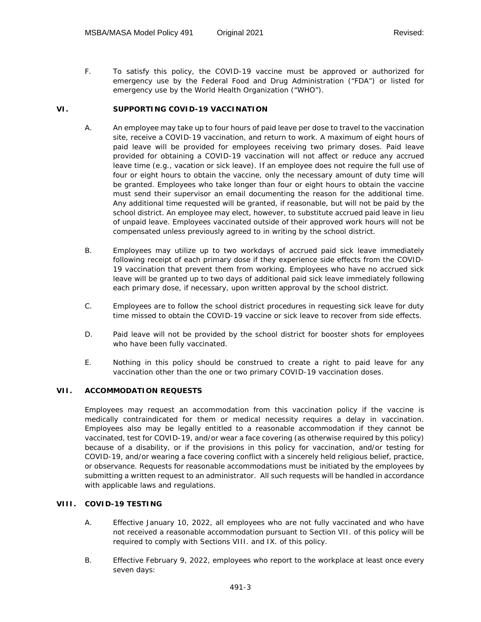F. To satisfy this policy, the COVID-19 vaccine must be approved or authorized for emergency use by the Federal Food and Drug Administration ("FDA") or listed for emergency use by the World Health Organization ("WHO").

## **VI. SUPPORTING COVID-19 VACCINATION**

- A. An employee may take up to four hours of paid leave per dose to travel to the vaccination site, receive a COVID-19 vaccination, and return to work. A maximum of eight hours of paid leave will be provided for employees receiving two primary doses. Paid leave provided for obtaining a COVID-19 vaccination will not affect or reduce any accrued leave time (e.g., vacation or sick leave). If an employee does not require the full use of four or eight hours to obtain the vaccine, only the necessary amount of duty time will be granted. Employees who take longer than four or eight hours to obtain the vaccine must send their supervisor an email documenting the reason for the additional time. Any additional time requested will be granted, if reasonable, but will not be paid by the school district. An employee may elect, however, to substitute accrued paid leave in lieu of unpaid leave. Employees vaccinated outside of their approved work hours will not be compensated unless previously agreed to in writing by the school district.
- B. Employees may utilize up to two workdays of accrued paid sick leave immediately following receipt of each primary dose if they experience side effects from the COVID-19 vaccination that prevent them from working. Employees who have no accrued sick leave will be granted up to two days of additional paid sick leave immediately following each primary dose, if necessary, upon written approval by the school district.
- C. Employees are to follow the school district procedures in requesting sick leave for duty time missed to obtain the COVID-19 vaccine or sick leave to recover from side effects.
- D. Paid leave will not be provided by the school district for booster shots for employees who have been fully vaccinated.
- E. Nothing in this policy should be construed to create a right to paid leave for any vaccination other than the one or two primary COVID-19 vaccination doses.

## **VII. ACCOMMODATION REQUESTS**

Employees may request an accommodation from this vaccination policy if the vaccine is medically contraindicated for them or medical necessity requires a delay in vaccination. Employees also may be legally entitled to a reasonable accommodation if they cannot be vaccinated, test for COVID-19, and/or wear a face covering (as otherwise required by this policy) because of a disability, or if the provisions in this policy for vaccination, and/or testing for COVID-19, and/or wearing a face covering conflict with a sincerely held religious belief, practice, or observance. Requests for reasonable accommodations must be initiated by the employees by submitting a written request to an administrator.All such requests will be handled in accordance with applicable laws and regulations.

## **VIII. COVID-19 TESTING**

- A. Effective January 10, 2022, all employees who are not fully vaccinated and who have not received a reasonable accommodation pursuant to Section VII. of this policy will be required to comply with Sections VIII. and IX. of this policy.
- B. Effective February 9, 2022, employees who report to the workplace at least once every seven days: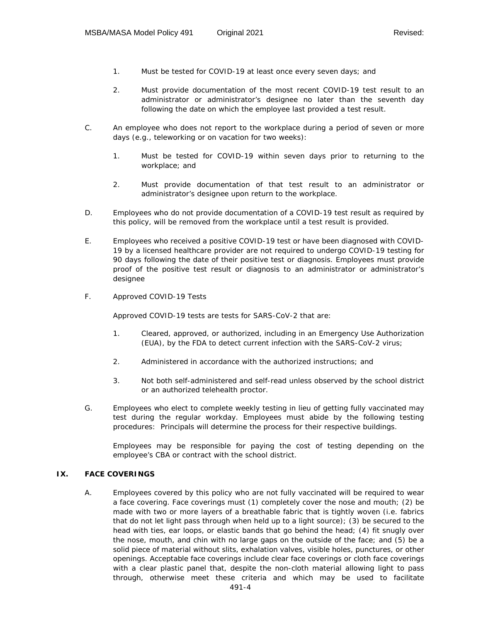- 1. Must be tested for COVID-19 at least once every seven days; and
- 2. Must provide documentation of the most recent COVID-19 test result to an administrator or administrator's designee no later than the seventh day following the date on which the employee last provided a test result.
- C. An employee who does not report to the workplace during a period of seven or more days (e.g., teleworking or on vacation for two weeks):
	- 1. Must be tested for COVID-19 within seven days prior to returning to the workplace; and
	- 2. Must provide documentation of that test result to an administrator or administrator's designee upon return to the workplace.
- D. Employees who do not provide documentation of a COVID-19 test result as required by this policy, will be removed from the workplace until a test result is provided.
- E. Employees who received a positive COVID-19 test or have been diagnosed with COVID-19 by a licensed healthcare provider are not required to undergo COVID-19 testing for 90 days following the date of their positive test or diagnosis. Employees must provide proof of the positive test result or diagnosis to an administrator or administrator's designee
- F. Approved COVID-19 Tests

Approved COVID-19 tests are tests for SARS-CoV-2 that are:

- 1. Cleared, approved, or authorized, including in an Emergency Use Authorization (EUA), by the FDA to detect current infection with the SARS-CoV-2 virus;
- 2. Administered in accordance with the authorized instructions; and
- 3. Not both self-administered and self-read unless observed by the school district or an authorized telehealth proctor.
- G. Employees who elect to complete weekly testing in lieu of getting fully vaccinated may test during the regular workday. Employees must abide by the following testing procedures: Principals will determine the process for their respective buildings.

Employees may be responsible for paying the cost of testing depending on the employee's CBA or contract with the school district.

## **IX. FACE COVERINGS**

A. Employees covered by this policy who are not fully vaccinated will be required to wear a face covering. Face coverings must (1) completely cover the nose and mouth; (2) be made with two or more layers of a breathable fabric that is tightly woven (i.e. fabrics that do not let light pass through when held up to a light source); (3) be secured to the head with ties, ear loops, or elastic bands that go behind the head; (4) fit snugly over the nose, mouth, and chin with no large gaps on the outside of the face; and (5) be a solid piece of material without slits, exhalation valves, visible holes, punctures, or other openings. Acceptable face coverings include clear face coverings or cloth face coverings with a clear plastic panel that, despite the non-cloth material allowing light to pass through, otherwise meet these criteria and which may be used to facilitate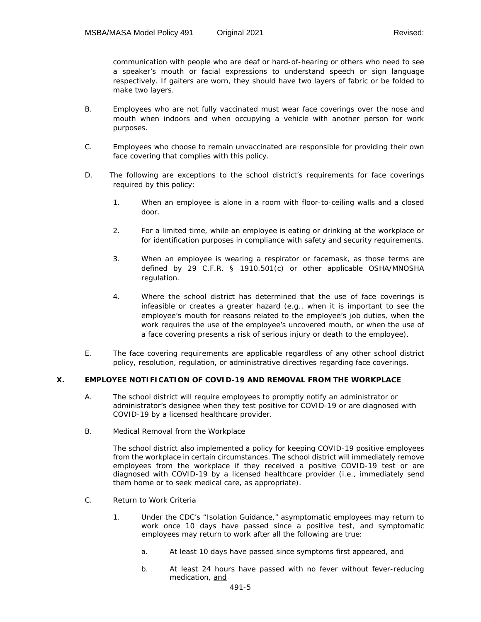communication with people who are deaf or hard-of-hearing or others who need to see a speaker's mouth or facial expressions to understand speech or sign language respectively. If gaiters are worn, they should have two layers of fabric or be folded to make two layers.

- B. Employees who are not fully vaccinated must wear face coverings over the nose and mouth when indoors and when occupying a vehicle with another person for work purposes.
- C. Employees who choose to remain unvaccinated are responsible for providing their own face covering that complies with this policy.
- D. The following are exceptions to the school district's requirements for face coverings required by this policy:
	- 1. When an employee is alone in a room with floor-to-ceiling walls and a closed door.
	- 2. For a limited time, while an employee is eating or drinking at the workplace or for identification purposes in compliance with safety and security requirements.
	- 3. When an employee is wearing a respirator or facemask, as those terms are defined by 29 C.F.R. § 1910.501(c) or other applicable OSHA/MNOSHA regulation.
	- 4. Where the school district has determined that the use of face coverings is infeasible or creates a greater hazard (e.g., when it is important to see the employee's mouth for reasons related to the employee's job duties, when the work requires the use of the employee's uncovered mouth, or when the use of a face covering presents a risk of serious injury or death to the employee).
- E. The face covering requirements are applicable regardless of any other school district policy, resolution, regulation, or administrative directives regarding face coverings.

## **X. EMPLOYEE NOTIFICATION OF COVID-19 AND REMOVAL FROM THE WORKPLACE**

- A. The school district will require employees to promptly notify an administrator or administrator's designee when they test positive for COVID-19 or are diagnosed with COVID-19 by a licensed healthcare provider.
- B. Medical Removal from the Workplace

The school district also implemented a policy for keeping COVID-19 positive employees from the workplace in certain circumstances. The school district will immediately remove employees from the workplace if they received a positive COVID-19 test or are diagnosed with COVID-19 by a licensed healthcare provider (i.e., immediately send them home or to seek medical care, as appropriate).

- C. Return to Work Criteria
	- 1. Under the CDC's "Isolation Guidance," asymptomatic employees may return to work once 10 days have passed since a positive test, and symptomatic employees may return to work after all the following are true:
		- a. At least 10 days have passed since symptoms first appeared, and
		- b. At least 24 hours have passed with no fever without fever-reducing medication, and